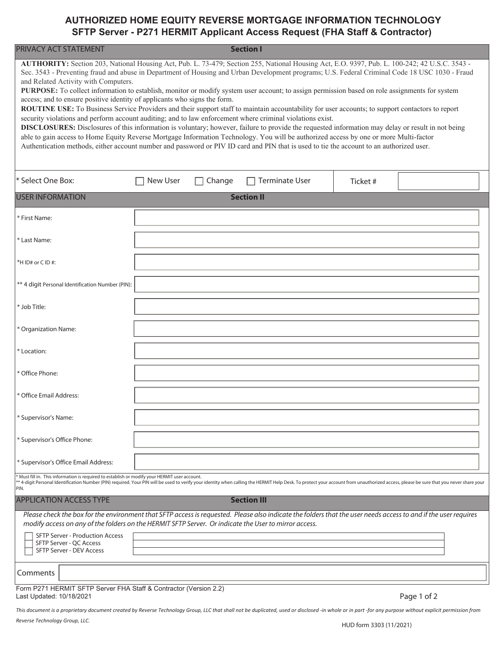## **AUTHORIZED HOME EQUITY REVERSE MORTGAGE INFORMATION TECHNOLOGY SFTP Server - P271 HERMIT Applicant Access Request (FHA Staff & Contractor)**

| PRIVACY ACT STATEMENT                                                                                                                                                                                                                                                                                                                                                                                                                                                                                                                                                                                                                                                                                                                                                                                                                                                                                                                                                                                                                                                                                                                                                                                                                                                             |                 |        | <b>Section I</b>      |         |             |  |  |  |
|-----------------------------------------------------------------------------------------------------------------------------------------------------------------------------------------------------------------------------------------------------------------------------------------------------------------------------------------------------------------------------------------------------------------------------------------------------------------------------------------------------------------------------------------------------------------------------------------------------------------------------------------------------------------------------------------------------------------------------------------------------------------------------------------------------------------------------------------------------------------------------------------------------------------------------------------------------------------------------------------------------------------------------------------------------------------------------------------------------------------------------------------------------------------------------------------------------------------------------------------------------------------------------------|-----------------|--------|-----------------------|---------|-------------|--|--|--|
| AUTHORITY: Section 203, National Housing Act, Pub. L. 73-479; Section 255, National Housing Act, E.O. 9397, Pub. L. 100-242; 42 U.S.C. 3543 -<br>Sec. 3543 - Preventing fraud and abuse in Department of Housing and Urban Development programs; U.S. Federal Criminal Code 18 USC 1030 - Fraud<br>and Related Activity with Computers.<br>PURPOSE: To collect information to establish, monitor or modify system user account; to assign permission based on role assignments for system<br>access; and to ensure positive identity of applicants who signs the form.<br>ROUTINE USE: To Business Service Providers and their support staff to maintain accountability for user accounts; to support contactors to report<br>security violations and perform account auditing; and to law enforcement where criminal violations exist.<br>DISCLOSURES: Disclosures of this information is voluntary; however, failure to provide the requested information may delay or result in not being<br>able to gain access to Home Equity Reverse Mortgage Information Technology. You will be authorized access by one or more Multi-factor<br>Authentication methods, either account number and password or PIV ID card and PIN that is used to tie the account to an authorized user. |                 |        |                       |         |             |  |  |  |
| * Select One Box:                                                                                                                                                                                                                                                                                                                                                                                                                                                                                                                                                                                                                                                                                                                                                                                                                                                                                                                                                                                                                                                                                                                                                                                                                                                                 | <b>New User</b> | Change | <b>Terminate User</b> | Ticket# |             |  |  |  |
| <b>USER INFORMATION</b>                                                                                                                                                                                                                                                                                                                                                                                                                                                                                                                                                                                                                                                                                                                                                                                                                                                                                                                                                                                                                                                                                                                                                                                                                                                           |                 |        | <b>Section II</b>     |         |             |  |  |  |
| * First Name:                                                                                                                                                                                                                                                                                                                                                                                                                                                                                                                                                                                                                                                                                                                                                                                                                                                                                                                                                                                                                                                                                                                                                                                                                                                                     |                 |        |                       |         |             |  |  |  |
| * Last Name:                                                                                                                                                                                                                                                                                                                                                                                                                                                                                                                                                                                                                                                                                                                                                                                                                                                                                                                                                                                                                                                                                                                                                                                                                                                                      |                 |        |                       |         |             |  |  |  |
| *HID# or CID#:                                                                                                                                                                                                                                                                                                                                                                                                                                                                                                                                                                                                                                                                                                                                                                                                                                                                                                                                                                                                                                                                                                                                                                                                                                                                    |                 |        |                       |         |             |  |  |  |
| ** 4 digit Personal Identification Number (PIN):                                                                                                                                                                                                                                                                                                                                                                                                                                                                                                                                                                                                                                                                                                                                                                                                                                                                                                                                                                                                                                                                                                                                                                                                                                  |                 |        |                       |         |             |  |  |  |
| * Job Title:                                                                                                                                                                                                                                                                                                                                                                                                                                                                                                                                                                                                                                                                                                                                                                                                                                                                                                                                                                                                                                                                                                                                                                                                                                                                      |                 |        |                       |         |             |  |  |  |
| * Organization Name:                                                                                                                                                                                                                                                                                                                                                                                                                                                                                                                                                                                                                                                                                                                                                                                                                                                                                                                                                                                                                                                                                                                                                                                                                                                              |                 |        |                       |         |             |  |  |  |
| * Location:                                                                                                                                                                                                                                                                                                                                                                                                                                                                                                                                                                                                                                                                                                                                                                                                                                                                                                                                                                                                                                                                                                                                                                                                                                                                       |                 |        |                       |         |             |  |  |  |
| * Office Phone:                                                                                                                                                                                                                                                                                                                                                                                                                                                                                                                                                                                                                                                                                                                                                                                                                                                                                                                                                                                                                                                                                                                                                                                                                                                                   |                 |        |                       |         |             |  |  |  |
| * Office Email Address:                                                                                                                                                                                                                                                                                                                                                                                                                                                                                                                                                                                                                                                                                                                                                                                                                                                                                                                                                                                                                                                                                                                                                                                                                                                           |                 |        |                       |         |             |  |  |  |
| * Supervisor's Name:                                                                                                                                                                                                                                                                                                                                                                                                                                                                                                                                                                                                                                                                                                                                                                                                                                                                                                                                                                                                                                                                                                                                                                                                                                                              |                 |        |                       |         |             |  |  |  |
| * Supervisor's Office Phone:                                                                                                                                                                                                                                                                                                                                                                                                                                                                                                                                                                                                                                                                                                                                                                                                                                                                                                                                                                                                                                                                                                                                                                                                                                                      |                 |        |                       |         |             |  |  |  |
| * Supervisor's Office Email Address:                                                                                                                                                                                                                                                                                                                                                                                                                                                                                                                                                                                                                                                                                                                                                                                                                                                                                                                                                                                                                                                                                                                                                                                                                                              |                 |        |                       |         |             |  |  |  |
| * Must fill in. This information is required to establish or modify your HERMIT user account.<br>** 4-digit Personal Identification Number (PIN) required. Your PIN will be used to verify your identity when calling the HERMIT Help Desk. To protect your account from unauthorized access, please be sure that you never sha                                                                                                                                                                                                                                                                                                                                                                                                                                                                                                                                                                                                                                                                                                                                                                                                                                                                                                                                                   |                 |        |                       |         |             |  |  |  |
| <b>APPLICATION ACCESS TYPE</b>                                                                                                                                                                                                                                                                                                                                                                                                                                                                                                                                                                                                                                                                                                                                                                                                                                                                                                                                                                                                                                                                                                                                                                                                                                                    |                 |        | <b>Section III</b>    |         |             |  |  |  |
| Please check the box for the environment that SFTP access is requested. Please also indicate the folders that the user needs access to and if the user requires<br>modify access on any of the folders on the HERMIT SFTP Server. Or indicate the User to mirror access.<br><b>SFTP Server - Production Access</b><br>SFTP Server - QC Access<br>SFTP Server - DEV Access                                                                                                                                                                                                                                                                                                                                                                                                                                                                                                                                                                                                                                                                                                                                                                                                                                                                                                         |                 |        |                       |         |             |  |  |  |
| Comments                                                                                                                                                                                                                                                                                                                                                                                                                                                                                                                                                                                                                                                                                                                                                                                                                                                                                                                                                                                                                                                                                                                                                                                                                                                                          |                 |        |                       |         |             |  |  |  |
| Form P271 HERMIT SFTP Server FHA Staff & Contractor (Version 2.2)<br>Last Updated: 10/18/2021                                                                                                                                                                                                                                                                                                                                                                                                                                                                                                                                                                                                                                                                                                                                                                                                                                                                                                                                                                                                                                                                                                                                                                                     |                 |        |                       |         | Page 1 of 2 |  |  |  |

*This document is a proprietary document created by Reverse Technology Group, LLC that shall not be duplicated, used or disclosed -in whole or in part -for any purpose without explicit permission from*